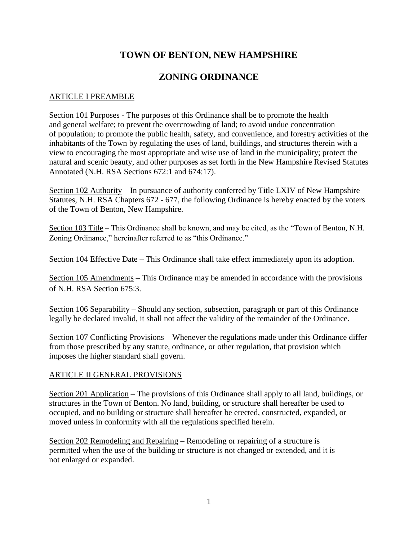# **TOWN OF BENTON, NEW HAMPSHIRE**

# **ZONING ORDINANCE**

# ARTICLE I PREAMBLE

Section 101 Purposes - The purposes of this Ordinance shall be to promote the health and general welfare; to prevent the overcrowding of land; to avoid undue concentration of population; to promote the public health, safety, and convenience, and forestry activities of the inhabitants of the Town by regulating the uses of land, buildings, and structures therein with a view to encouraging the most appropriate and wise use of land in the municipality; protect the natural and scenic beauty, and other purposes as set forth in the New Hampshire Revised Statutes Annotated (N.H. RSA Sections 672:1 and 674:17).

Section 102 Authority – In pursuance of authority conferred by Title LXIV of New Hampshire Statutes, N.H. RSA Chapters 672 - 677, the following Ordinance is hereby enacted by the voters of the Town of Benton, New Hampshire.

Section 103 Title – This Ordinance shall be known, and may be cited, as the "Town of Benton, N.H. Zoning Ordinance," hereinafter referred to as "this Ordinance."

Section 104 Effective Date – This Ordinance shall take effect immediately upon its adoption.

Section 105 Amendments – This Ordinance may be amended in accordance with the provisions of N.H. RSA Section 675:3.

Section 106 Separability – Should any section, subsection, paragraph or part of this Ordinance legally be declared invalid, it shall not affect the validity of the remainder of the Ordinance.

Section 107 Conflicting Provisions – Whenever the regulations made under this Ordinance differ from those prescribed by any statute, ordinance, or other regulation, that provision which imposes the higher standard shall govern.

## ARTICLE II GENERAL PROVISIONS

Section 201 Application – The provisions of this Ordinance shall apply to all land, buildings, or structures in the Town of Benton. No land, building, or structure shall hereafter be used to occupied, and no building or structure shall hereafter be erected, constructed, expanded, or moved unless in conformity with all the regulations specified herein.

Section 202 Remodeling and Repairing – Remodeling or repairing of a structure is permitted when the use of the building or structure is not changed or extended, and it is not enlarged or expanded.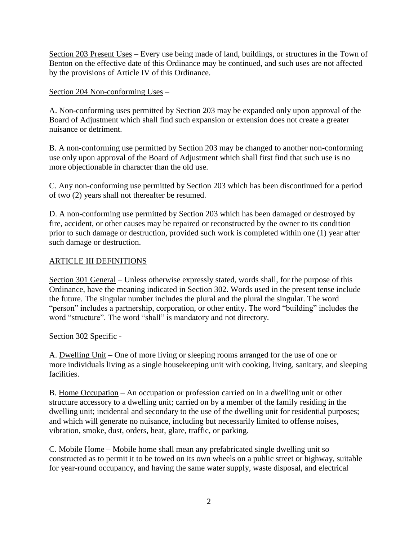Section 203 Present Uses – Every use being made of land, buildings, or structures in the Town of Benton on the effective date of this Ordinance may be continued, and such uses are not affected by the provisions of Article IV of this Ordinance.

# Section 204 Non-conforming Uses –

A. Non-conforming uses permitted by Section 203 may be expanded only upon approval of the Board of Adjustment which shall find such expansion or extension does not create a greater nuisance or detriment.

B. A non-conforming use permitted by Section 203 may be changed to another non-conforming use only upon approval of the Board of Adjustment which shall first find that such use is no more objectionable in character than the old use.

C. Any non-conforming use permitted by Section 203 which has been discontinued for a period of two (2) years shall not thereafter be resumed.

D. A non-conforming use permitted by Section 203 which has been damaged or destroyed by fire, accident, or other causes may be repaired or reconstructed by the owner to its condition prior to such damage or destruction, provided such work is completed within one (1) year after such damage or destruction.

# ARTICLE III DEFINITIONS

Section 301 General – Unless otherwise expressly stated, words shall, for the purpose of this Ordinance, have the meaning indicated in Section 302. Words used in the present tense include the future. The singular number includes the plural and the plural the singular. The word "person" includes a partnership, corporation, or other entity. The word "building" includes the word "structure". The word "shall" is mandatory and not directory.

## Section 302 Specific -

A. Dwelling Unit – One of more living or sleeping rooms arranged for the use of one or more individuals living as a single housekeeping unit with cooking, living, sanitary, and sleeping facilities.

B. Home Occupation – An occupation or profession carried on in a dwelling unit or other structure accessory to a dwelling unit; carried on by a member of the family residing in the dwelling unit; incidental and secondary to the use of the dwelling unit for residential purposes; and which will generate no nuisance, including but necessarily limited to offense noises, vibration, smoke, dust, orders, heat, glare, traffic, or parking.

C. Mobile Home – Mobile home shall mean any prefabricated single dwelling unit so constructed as to permit it to be towed on its own wheels on a public street or highway, suitable for year-round occupancy, and having the same water supply, waste disposal, and electrical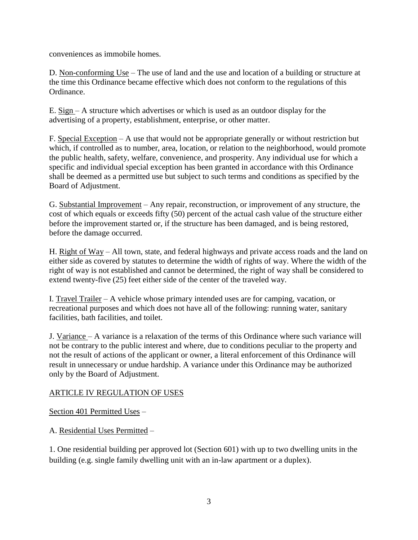conveniences as immobile homes.

D. Non-conforming Use – The use of land and the use and location of a building or structure at the time this Ordinance became effective which does not conform to the regulations of this Ordinance.

E. Sign – A structure which advertises or which is used as an outdoor display for the advertising of a property, establishment, enterprise, or other matter.

F. Special Exception – A use that would not be appropriate generally or without restriction but which, if controlled as to number, area, location, or relation to the neighborhood, would promote the public health, safety, welfare, convenience, and prosperity. Any individual use for which a specific and individual special exception has been granted in accordance with this Ordinance shall be deemed as a permitted use but subject to such terms and conditions as specified by the Board of Adjustment.

G. Substantial Improvement – Any repair, reconstruction, or improvement of any structure, the cost of which equals or exceeds fifty (50) percent of the actual cash value of the structure either before the improvement started or, if the structure has been damaged, and is being restored, before the damage occurred.

H. Right of Way – All town, state, and federal highways and private access roads and the land on either side as covered by statutes to determine the width of rights of way. Where the width of the right of way is not established and cannot be determined, the right of way shall be considered to extend twenty-five (25) feet either side of the center of the traveled way.

I. Travel Trailer – A vehicle whose primary intended uses are for camping, vacation, or recreational purposes and which does not have all of the following: running water, sanitary facilities, bath facilities, and toilet.

J. Variance – A variance is a relaxation of the terms of this Ordinance where such variance will not be contrary to the public interest and where, due to conditions peculiar to the property and not the result of actions of the applicant or owner, a literal enforcement of this Ordinance will result in unnecessary or undue hardship. A variance under this Ordinance may be authorized only by the Board of Adjustment.

## ARTICLE IV REGULATION OF USES

Section 401 Permitted Uses –

A. Residential Uses Permitted –

1. One residential building per approved lot (Section 601) with up to two dwelling units in the building (e.g. single family dwelling unit with an in-law apartment or a duplex).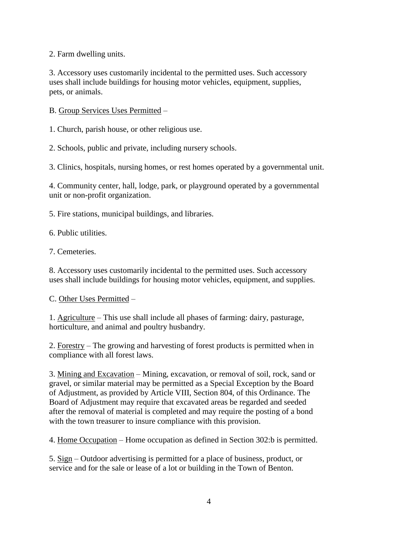2. Farm dwelling units.

3. Accessory uses customarily incidental to the permitted uses. Such accessory uses shall include buildings for housing motor vehicles, equipment, supplies, pets, or animals.

B. Group Services Uses Permitted –

1. Church, parish house, or other religious use.

2. Schools, public and private, including nursery schools.

3. Clinics, hospitals, nursing homes, or rest homes operated by a governmental unit.

4. Community center, hall, lodge, park, or playground operated by a governmental unit or non-profit organization.

5. Fire stations, municipal buildings, and libraries.

6. Public utilities.

7. Cemeteries.

8. Accessory uses customarily incidental to the permitted uses. Such accessory uses shall include buildings for housing motor vehicles, equipment, and supplies.

#### C. Other Uses Permitted –

1. Agriculture – This use shall include all phases of farming: dairy, pasturage, horticulture, and animal and poultry husbandry.

2. Forestry – The growing and harvesting of forest products is permitted when in compliance with all forest laws.

3. Mining and Excavation – Mining, excavation, or removal of soil, rock, sand or gravel, or similar material may be permitted as a Special Exception by the Board of Adjustment, as provided by Article VIII, Section 804, of this Ordinance. The Board of Adjustment may require that excavated areas be regarded and seeded after the removal of material is completed and may require the posting of a bond with the town treasurer to insure compliance with this provision.

4. Home Occupation – Home occupation as defined in Section 302:b is permitted.

5. Sign – Outdoor advertising is permitted for a place of business, product, or service and for the sale or lease of a lot or building in the Town of Benton.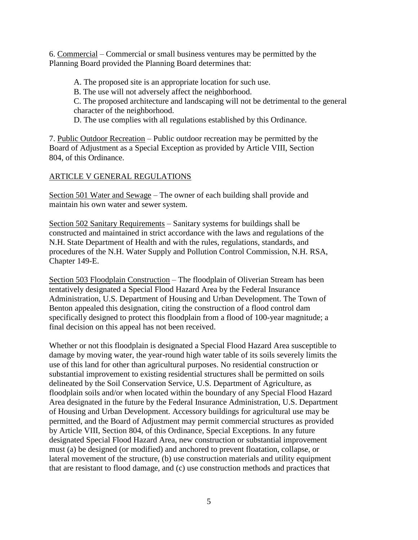6. Commercial – Commercial or small business ventures may be permitted by the Planning Board provided the Planning Board determines that:

A. The proposed site is an appropriate location for such use.

B. The use will not adversely affect the neighborhood.

C. The proposed architecture and landscaping will not be detrimental to the general character of the neighborhood.

D. The use complies with all regulations established by this Ordinance.

7. Public Outdoor Recreation – Public outdoor recreation may be permitted by the Board of Adjustment as a Special Exception as provided by Article VIII, Section 804, of this Ordinance.

# ARTICLE V GENERAL REGULATIONS

Section 501 Water and Sewage – The owner of each building shall provide and maintain his own water and sewer system.

Section 502 Sanitary Requirements – Sanitary systems for buildings shall be constructed and maintained in strict accordance with the laws and regulations of the N.H. State Department of Health and with the rules, regulations, standards, and procedures of the N.H. Water Supply and Pollution Control Commission, N.H. RSA, Chapter 149-E.

Section 503 Floodplain Construction – The floodplain of Oliverian Stream has been tentatively designated a Special Flood Hazard Area by the Federal Insurance Administration, U.S. Department of Housing and Urban Development. The Town of Benton appealed this designation, citing the construction of a flood control dam specifically designed to protect this floodplain from a flood of 100-year magnitude; a final decision on this appeal has not been received.

Whether or not this floodplain is designated a Special Flood Hazard Area susceptible to damage by moving water, the year-round high water table of its soils severely limits the use of this land for other than agricultural purposes. No residential construction or substantial improvement to existing residential structures shall be permitted on soils delineated by the Soil Conservation Service, U.S. Department of Agriculture, as floodplain soils and/or when located within the boundary of any Special Flood Hazard Area designated in the future by the Federal Insurance Administration, U.S. Department of Housing and Urban Development. Accessory buildings for agricultural use may be permitted, and the Board of Adjustment may permit commercial structures as provided by Article VIII, Section 804, of this Ordinance, Special Exceptions. In any future designated Special Flood Hazard Area, new construction or substantial improvement must (a) be designed (or modified) and anchored to prevent floatation, collapse, or lateral movement of the structure, (b) use construction materials and utility equipment that are resistant to flood damage, and (c) use construction methods and practices that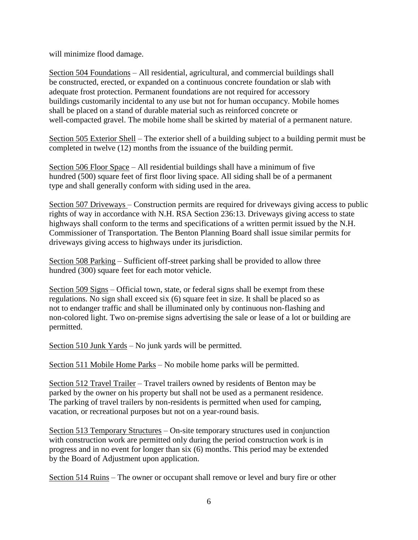will minimize flood damage.

Section 504 Foundations – All residential, agricultural, and commercial buildings shall be constructed, erected, or expanded on a continuous concrete foundation or slab with adequate frost protection. Permanent foundations are not required for accessory buildings customarily incidental to any use but not for human occupancy. Mobile homes shall be placed on a stand of durable material such as reinforced concrete or well-compacted gravel. The mobile home shall be skirted by material of a permanent nature.

Section 505 Exterior Shell – The exterior shell of a building subject to a building permit must be completed in twelve (12) months from the issuance of the building permit.

Section 506 Floor Space – All residential buildings shall have a minimum of five hundred (500) square feet of first floor living space. All siding shall be of a permanent type and shall generally conform with siding used in the area.

Section 507 Driveways – Construction permits are required for driveways giving access to public rights of way in accordance with N.H. RSA Section 236:13. Driveways giving access to state highways shall conform to the terms and specifications of a written permit issued by the N.H. Commissioner of Transportation. The Benton Planning Board shall issue similar permits for driveways giving access to highways under its jurisdiction.

Section 508 Parking – Sufficient off-street parking shall be provided to allow three hundred (300) square feet for each motor vehicle.

Section 509 Signs – Official town, state, or federal signs shall be exempt from these regulations. No sign shall exceed six (6) square feet in size. It shall be placed so as not to endanger traffic and shall be illuminated only by continuous non-flashing and non-colored light. Two on-premise signs advertising the sale or lease of a lot or building are permitted.

Section 510 Junk Yards – No junk yards will be permitted.

Section 511 Mobile Home Parks – No mobile home parks will be permitted.

Section 512 Travel Trailer – Travel trailers owned by residents of Benton may be parked by the owner on his property but shall not be used as a permanent residence. The parking of travel trailers by non-residents is permitted when used for camping, vacation, or recreational purposes but not on a year-round basis.

Section 513 Temporary Structures – On-site temporary structures used in conjunction with construction work are permitted only during the period construction work is in progress and in no event for longer than six (6) months. This period may be extended by the Board of Adjustment upon application.

Section 514 Ruins – The owner or occupant shall remove or level and bury fire or other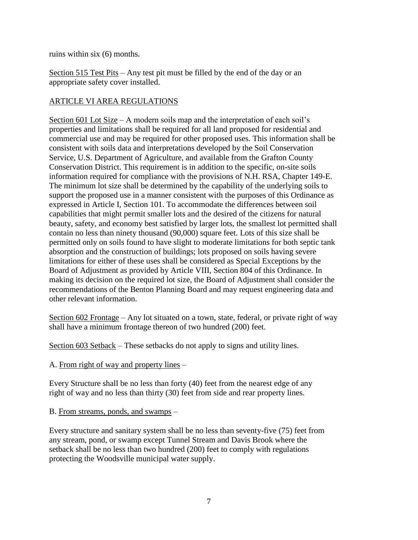ruins within six (6) months.

Section 515 Test Pits – Any test pit must be filled by the end of the day or an appropriate safety cover installed.

## ARTICLE VI AREA REGULATIONS

Section 601 Lot Size – A modern soils map and the interpretation of each soil's properties and limitations shall be required for all land proposed for residential and commercial use and may be required for other proposed uses. This information shall be consistent with soils data and interpretations developed by the Soil Conservation Service, U.S. Department of Agriculture, and available from the Grafton County Conservation District. This requirement is in addition to the specific, on-site soils information required for compliance with the provisions of N.H. RSA, Chapter 149-E. The minimum lot size shall be determined by the capability of the underlying soils to support the proposed use in a manner consistent with the purposes of this Ordinance as expressed in Article I, Section 101. To accommodate the differences between soil capabilities that might permit smaller lots and the desired of the citizens for natural beauty, safety, and economy best satisfied by larger lots, the smallest lot permitted shall contain no less than ninety thousand (90,000) square feet. Lots of this size shall be permitted only on soils found to have slight to moderate limitations for both septic tank absorption and the construction of buildings; lots proposed on soils having severe limitations for either of these uses shall be considered as Special Exceptions by the Board of Adjustment as provided by Article VIII, Section 804 of this Ordinance. In making its decision on the required lot size, the Board of Adjustment shall consider the recommendations of the Benton Planning Board and may request engineering data and other relevant information.

Section 602 Frontage – Any lot situated on a town, state, federal, or private right of way shall have a minimum frontage thereon of two hundred (200) feet.

Section 603 Setback – These setbacks do not apply to signs and utility lines.

#### A. From right of way and property lines –

Every Structure shall be no less than forty (40) feet from the nearest edge of any right of way and no less than thirty (30) feet from side and rear property lines.

B. From streams, ponds, and swamps –

Every structure and sanitary system shall be no less than seventy-five (75) feet from any stream, pond, or swamp except Tunnel Stream and Davis Brook where the setback shall be no less than two hundred (200) feet to comply with regulations protecting the Woodsville municipal water supply.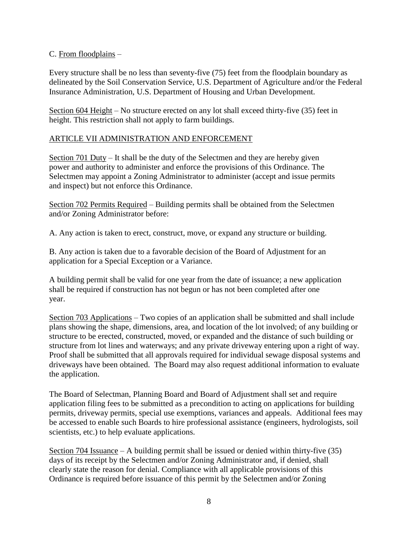#### C. From floodplains –

Every structure shall be no less than seventy-five (75) feet from the floodplain boundary as delineated by the Soil Conservation Service, U.S. Department of Agriculture and/or the Federal Insurance Administration, U.S. Department of Housing and Urban Development.

Section 604 Height – No structure erected on any lot shall exceed thirty-five (35) feet in height. This restriction shall not apply to farm buildings.

#### ARTICLE VII ADMINISTRATION AND ENFORCEMENT

Section 701 Duty – It shall be the duty of the Selectmen and they are hereby given power and authority to administer and enforce the provisions of this Ordinance. The Selectmen may appoint a Zoning Administrator to administer (accept and issue permits and inspect) but not enforce this Ordinance.

Section 702 Permits Required – Building permits shall be obtained from the Selectmen and/or Zoning Administrator before:

A. Any action is taken to erect, construct, move, or expand any structure or building.

B. Any action is taken due to a favorable decision of the Board of Adjustment for an application for a Special Exception or a Variance.

A building permit shall be valid for one year from the date of issuance; a new application shall be required if construction has not begun or has not been completed after one year.

Section 703 Applications – Two copies of an application shall be submitted and shall include plans showing the shape, dimensions, area, and location of the lot involved; of any building or structure to be erected, constructed, moved, or expanded and the distance of such building or structure from lot lines and waterways; and any private driveway entering upon a right of way. Proof shall be submitted that all approvals required for individual sewage disposal systems and driveways have been obtained. The Board may also request additional information to evaluate the application.

The Board of Selectman, Planning Board and Board of Adjustment shall set and require application filing fees to be submitted as a precondition to acting on applications for building permits, driveway permits, special use exemptions, variances and appeals. Additional fees may be accessed to enable such Boards to hire professional assistance (engineers, hydrologists, soil scientists, etc.) to help evaluate applications.

Section 704 Issuance – A building permit shall be issued or denied within thirty-five (35) days of its receipt by the Selectmen and/or Zoning Administrator and, if denied, shall clearly state the reason for denial. Compliance with all applicable provisions of this Ordinance is required before issuance of this permit by the Selectmen and/or Zoning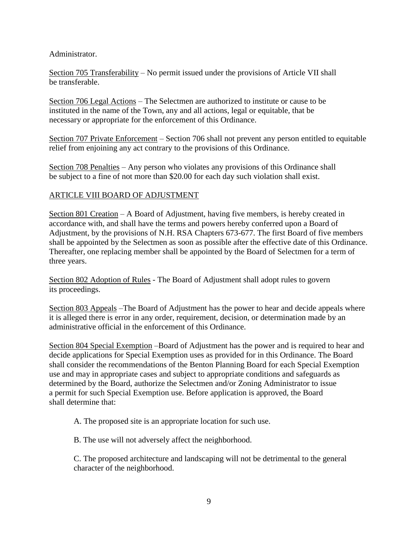Administrator.

Section 705 Transferability – No permit issued under the provisions of Article VII shall be transferable.

Section 706 Legal Actions – The Selectmen are authorized to institute or cause to be instituted in the name of the Town, any and all actions, legal or equitable, that be necessary or appropriate for the enforcement of this Ordinance.

Section 707 Private Enforcement – Section 706 shall not prevent any person entitled to equitable relief from enjoining any act contrary to the provisions of this Ordinance.

Section 708 Penalties – Any person who violates any provisions of this Ordinance shall be subject to a fine of not more than \$20.00 for each day such violation shall exist.

## ARTICLE VIII BOARD OF ADJUSTMENT

Section 801 Creation – A Board of Adjustment, having five members, is hereby created in accordance with, and shall have the terms and powers hereby conferred upon a Board of Adjustment, by the provisions of N.H. RSA Chapters 673-677. The first Board of five members shall be appointed by the Selectmen as soon as possible after the effective date of this Ordinance. Thereafter, one replacing member shall be appointed by the Board of Selectmen for a term of three years.

Section 802 Adoption of Rules - The Board of Adjustment shall adopt rules to govern its proceedings.

Section 803 Appeals –The Board of Adjustment has the power to hear and decide appeals where it is alleged there is error in any order, requirement, decision, or determination made by an administrative official in the enforcement of this Ordinance.

Section 804 Special Exemption –Board of Adjustment has the power and is required to hear and decide applications for Special Exemption uses as provided for in this Ordinance. The Board shall consider the recommendations of the Benton Planning Board for each Special Exemption use and may in appropriate cases and subject to appropriate conditions and safeguards as determined by the Board, authorize the Selectmen and/or Zoning Administrator to issue a permit for such Special Exemption use. Before application is approved, the Board shall determine that:

A. The proposed site is an appropriate location for such use.

B. The use will not adversely affect the neighborhood.

C. The proposed architecture and landscaping will not be detrimental to the general character of the neighborhood.